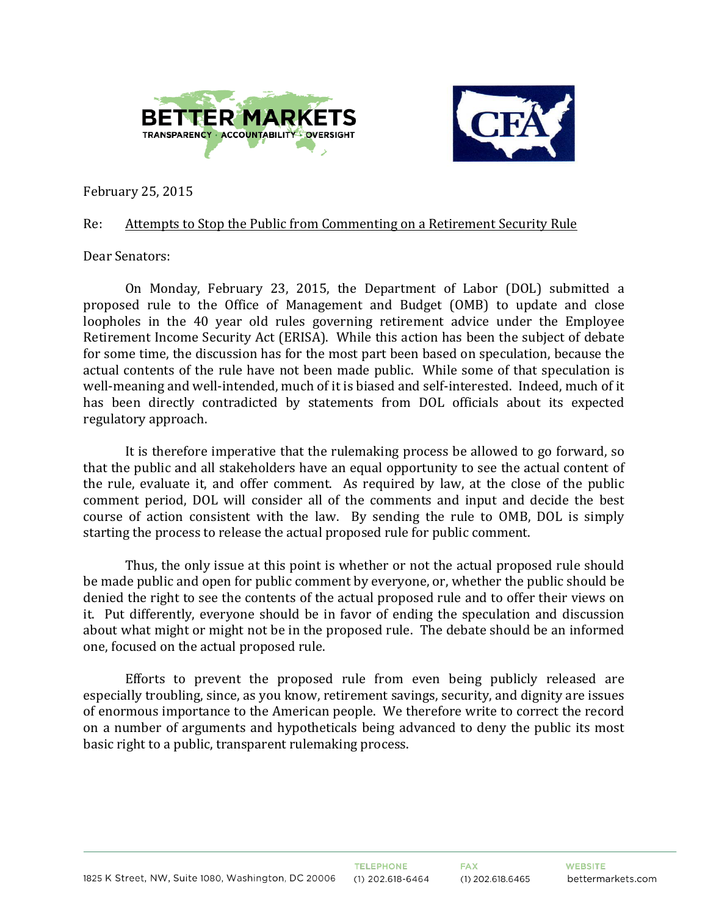



February 25, 2015

## Re: Attempts to Stop the Public from Commenting on a Retirement Security Rule

## Dear Senators:

On Monday, February 23, 2015, the Department of Labor (DOL) submitted a proposed rule to the Office of Management and Budget (OMB) to update and close loopholes in the 40 year old rules governing retirement advice under the Employee Retirement Income Security Act (ERISA). While this action has been the subject of debate for some time, the discussion has for the most part been based on speculation, because the actual contents of the rule have not been made public. While some of that speculation is well-meaning and well-intended, much of it is biased and self-interested. Indeed, much of it has been directly contradicted by statements from DOL officials about its expected regulatory approach.

It is therefore imperative that the rulemaking process be allowed to go forward, so that the public and all stakeholders have an equal opportunity to see the actual content of the rule, evaluate it, and offer comment. As required by law, at the close of the public comment period, DOL will consider all of the comments and input and decide the best course of action consistent with the law. By sending the rule to OMB, DOL is simply starting the process to release the actual proposed rule for public comment.

Thus, the only issue at this point is whether or not the actual proposed rule should be made public and open for public comment by everyone, or, whether the public should be denied the right to see the contents of the actual proposed rule and to offer their views on it. Put differently, everyone should be in favor of ending the speculation and discussion about what might or might not be in the proposed rule. The debate should be an informed one, focused on the actual proposed rule.

Efforts to prevent the proposed rule from even being publicly released are especially troubling, since, as you know, retirement savings, security, and dignity are issues of enormous importance to the American people. We therefore write to correct the record on a number of arguments and hypotheticals being advanced to deny the public its most basic right to a public, transparent rulemaking process.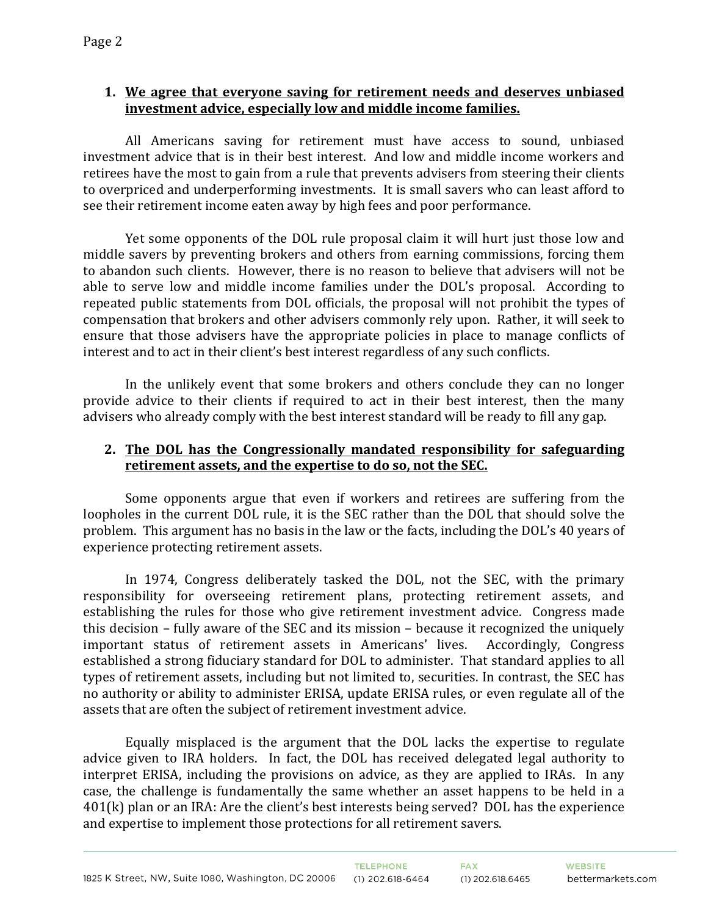## **1.** We agree that everyone saving for retirement needs and deserves unbiased investment advice, especially low and middle income families.

All Americans saving for retirement must have access to sound, unbiased investment advice that is in their best interest. And low and middle income workers and retirees have the most to gain from a rule that prevents advisers from steering their clients to overpriced and underperforming investments. It is small savers who can least afford to see their retirement income eaten away by high fees and poor performance.

Yet some opponents of the DOL rule proposal claim it will hurt just those low and middle savers by preventing brokers and others from earning commissions, forcing them to abandon such clients. However, there is no reason to believe that advisers will not be able to serve low and middle income families under the DOL's proposal. According to repeated public statements from DOL officials, the proposal will not prohibit the types of compensation that brokers and other advisers commonly rely upon. Rather, it will seek to ensure that those advisers have the appropriate policies in place to manage conflicts of interest and to act in their client's best interest regardless of any such conflicts.

In the unlikely event that some brokers and others conclude they can no longer provide advice to their clients if required to act in their best interest, then the many advisers who already comply with the best interest standard will be ready to fill any gap.

## **2.** The DOL has the Congressionally mandated responsibility for safeguarding retirement assets, and the expertise to do so, not the SEC.

Some opponents argue that even if workers and retirees are suffering from the loopholes in the current DOL rule, it is the SEC rather than the DOL that should solve the problem. This argument has no basis in the law or the facts, including the DOL's 40 years of experience protecting retirement assets.

In 1974, Congress deliberately tasked the DOL, not the SEC, with the primary responsibility for overseeing retirement plans, protecting retirement assets, and establishing the rules for those who give retirement investment advice. Congress made this decision – fully aware of the SEC and its mission – because it recognized the uniquely important status of retirement assets in Americans' lives. Accordingly, Congress established a strong fiduciary standard for DOL to administer. That standard applies to all types of retirement assets, including but not limited to, securities. In contrast, the SEC has no authority or ability to administer ERISA, update ERISA rules, or even regulate all of the assets that are often the subject of retirement investment advice.

Equally misplaced is the argument that the DOL lacks the expertise to regulate advice given to IRA holders. In fact, the DOL has received delegated legal authority to interpret ERISA, including the provisions on advice, as they are applied to IRAs. In any case, the challenge is fundamentally the same whether an asset happens to be held in a  $401(k)$  plan or an IRA: Are the client's best interests being served? DOL has the experience and expertise to implement those protections for all retirement savers.